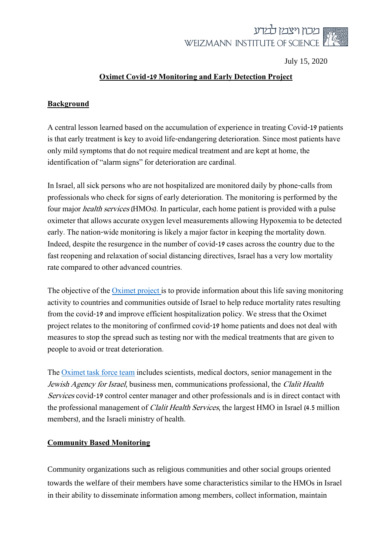

July 15, 2020

### **Oximet Covid-19 Monitoring and Early Detection Project**

### **Background**

A central lesson learned based on the accumulation of experience in treating Covid-19 patients is that early treatment is key to avoid life-endangering deterioration. Since most patients have only mild symptoms that do not require medical treatment and are kept at home, the identification of "alarm signs" for deterioration are cardinal.

In Israel, all sick persons who are not hospitalized are monitored daily by phone-calls from professionals who check for signs of early deterioration. The monitoring is performed by the four major health services (HMOs). In particular, each home patient is provided with a pulse oximeter that allows accurate oxygen level measurements allowing Hypoxemia to be detected early. The nation-wide monitoring is likely a major factor in keeping the mortality down. Indeed, despite the resurgence in the number of covid-19 cases across the country due to the fast reopening and relaxation of social distancing directives, Israel has a very low mortality rate compared to other advanced countries.

The objective of the *Oximet project* is to provide information about this life saving monitoring activity to countries and communities outside of Israel to help reduce mortality rates resulting from the covid-19 and improve efficient hospitalization policy. We stress that the Oximet project relates to the monitoring of confirmed covid-19 home patients and does not deal with measures to stop the spread such as testing nor with the medical treatments that are given to people to avoid or treat deterioration.

The [Oximet task force team](http://www.weizmann.ac.il/sites/oximet/contactus) includes scientists, medical doctors, senior management in the Jewish Agency for Israel, business men, communications professional, the Clalit Health Services covid-19 control center manager and other professionals and is in direct contact with the professional management of Clalit Health Services, the largest HMO in Israel (4.5 million members), and the Israeli ministry of health.

#### **Community Based Monitoring**

Community organizations such as religious communities and other social groups oriented towards the welfare of their members have some characteristics similar to the HMOs in Israel in their ability to disseminate information among members, collect information, maintain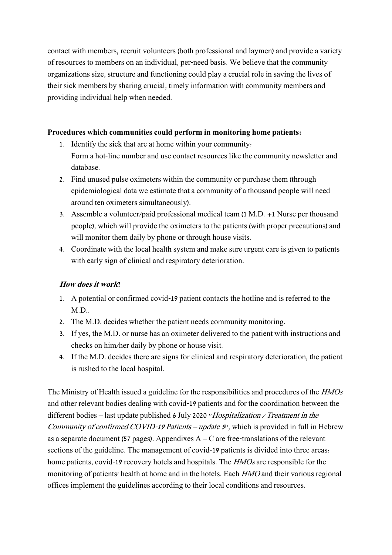contact with members, recruit volunteers (both professional and laymen) and provide a variety of resources to members on an individual, per-need basis. We believe that the community organizations size, structure and functioning could play a crucial role in saving the lives of their sick members by sharing crucial, timely information with community members and providing individual help when needed.

### **Procedures which communities could perform in monitoring home patients:**

- 1. Identify the sick that are at home within your community: Form a hot-line number and use contact resources like the community newsletter and database.
- 2. Find unused pulse oximeters within the community or purchase them (through epidemiological data we estimate that a community of a thousand people will need around ten oximeters simultaneously).
- 3. Assemble a volunteer/paid professional medical team (1 M.D. +1 Nurse per thousand people), which will provide the oximeters to the patients (with proper precautions) and will monitor them daily by phone or through house visits.
- 4. Coordinate with the local health system and make sure urgent care is given to patients with early sign of clinical and respiratory deterioration.

### **How does it work?**

- 1. A potential or confirmed covid-19 patient contacts the hotline and is referred to the M.D..
- 2. The M.D. decides whether the patient needs community monitoring.
- 3. If yes, the M.D. or nurse has an oximeter delivered to the patient with instructions and checks on him/her daily by phone or house visit.
- 4. If the M.D. decides there are signs for clinical and respiratory deterioration, the patient is rushed to the local hospital.

The Ministry of Health issued a guideline for the responsibilities and procedures of the HMOs and other relevant bodies dealing with covid-19 patients and for the coordination between the different bodies – last update published 6 July 2020 "Hospitalization / Treatment in the Community of confirmed COVID-19 Patients – update 5", which is provided in full in Hebrew as a separate document (57 pages). Appendixes  $A - C$  are free-translations of the relevant sections of the guideline. The management of covid-19 patients is divided into three areas: home patients, covid-19 recovery hotels and hospitals. The *HMOs* are responsible for the monitoring of patients' health at home and in the hotels. Each *HMO* and their various regional offices implement the guidelines according to their local conditions and resources.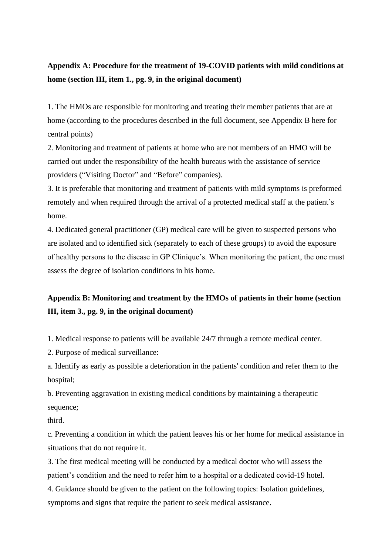## **Appendix A: Procedure for the treatment of 19-COVID patients with mild conditions at home (section III, item 1., pg. 9, in the original document)**

1. The HMOs are responsible for monitoring and treating their member patients that are at home (according to the procedures described in the full document, see Appendix B here for central points)

2. Monitoring and treatment of patients at home who are not members of an HMO will be carried out under the responsibility of the health bureaus with the assistance of service providers ("Visiting Doctor" and "Before" companies).

3. It is preferable that monitoring and treatment of patients with mild symptoms is preformed remotely and when required through the arrival of a protected medical staff at the patient's home.

4. Dedicated general practitioner (GP) medical care will be given to suspected persons who are isolated and to identified sick (separately to each of these groups) to avoid the exposure of healthy persons to the disease in GP Clinique's. When monitoring the patient, the one must assess the degree of isolation conditions in his home.

# **Appendix B: Monitoring and treatment by the HMOs of patients in their home (section III, item 3., pg. 9, in the original document)**

1. Medical response to patients will be available 24/7 through a remote medical center.

2. Purpose of medical surveillance:

a. Identify as early as possible a deterioration in the patients' condition and refer them to the hospital;

b. Preventing aggravation in existing medical conditions by maintaining a therapeutic sequence;

third.

c. Preventing a condition in which the patient leaves his or her home for medical assistance in situations that do not require it.

3. The first medical meeting will be conducted by a medical doctor who will assess the patient's condition and the need to refer him to a hospital or a dedicated covid-19 hotel.

4. Guidance should be given to the patient on the following topics: Isolation guidelines, symptoms and signs that require the patient to seek medical assistance.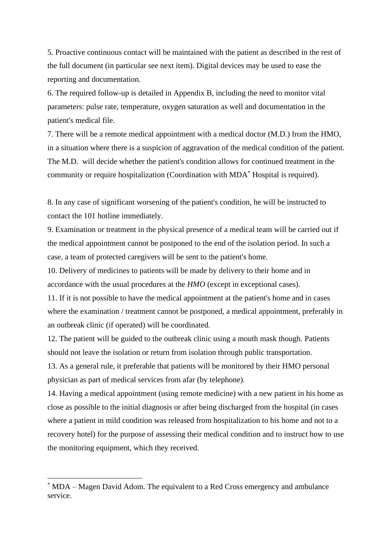5. Proactive continuous contact will be maintained with the patient as described in the rest of the full document (in particular see next item). Digital devices may be used to ease the reporting and documentation.

6. The required follow-up is detailed in Appendix B, including the need to monitor vital parameters: pulse rate, temperature, oxygen saturation as well and documentation in the patient's medical file.

7. There will be a remote medical appointment with a medical doctor (M.D.) from the HMO, in a situation where there is a suspicion of aggravation of the medical condition of the patient. The M.D. will decide whether the patient's condition allows for continued treatment in the community or require hospitalization (Coordination with MDA\* Hospital is required).

8. In any case of significant worsening of the patient's condition, he will be instructed to contact the 101 hotline immediately.

9. Examination or treatment in the physical presence of a medical team will be carried out if the medical appointment cannot be postponed to the end of the isolation period. In such a case, a team of protected caregivers will be sent to the patient's home.

10. Delivery of medicines to patients will be made by delivery to their home and in accordance with the usual procedures at the *HMO* (except in exceptional cases).

11. If it is not possible to have the medical appointment at the patient's home and in cases where the examination / treatment cannot be postponed, a medical appointment, preferably in an outbreak clinic (if operated) will be coordinated.

12. The patient will be guided to the outbreak clinic using a mouth mask though. Patients should not leave the isolation or return from isolation through public transportation.

13. As a general rule, it preferable that patients will be monitored by their HMO personal physician as part of medical services from afar (by telephone).

14. Having a medical appointment (using remote medicine) with a new patient in his home as close as possible to the initial diagnosis or after being discharged from the hospital (in cases where a patient in mild condition was released from hospitalization to his home and not to a recovery hotel) for the purpose of assessing their medical condition and to instruct how to use the monitoring equipment, which they received.

<sup>\*</sup> MDA – Magen David Adom. The equivalent to a Red Cross emergency and ambulance service.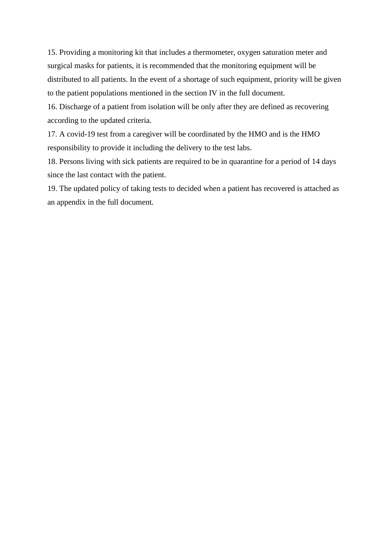15. Providing a monitoring kit that includes a thermometer, oxygen saturation meter and surgical masks for patients, it is recommended that the monitoring equipment will be distributed to all patients. In the event of a shortage of such equipment, priority will be given to the patient populations mentioned in the section IV in the full document.

16. Discharge of a patient from isolation will be only after they are defined as recovering according to the updated criteria.

17. A covid-19 test from a caregiver will be coordinated by the HMO and is the HMO responsibility to provide it including the delivery to the test labs.

18. Persons living with sick patients are required to be in quarantine for a period of 14 days since the last contact with the patient.

19. The updated policy of taking tests to decided when a patient has recovered is attached as an appendix in the full document.